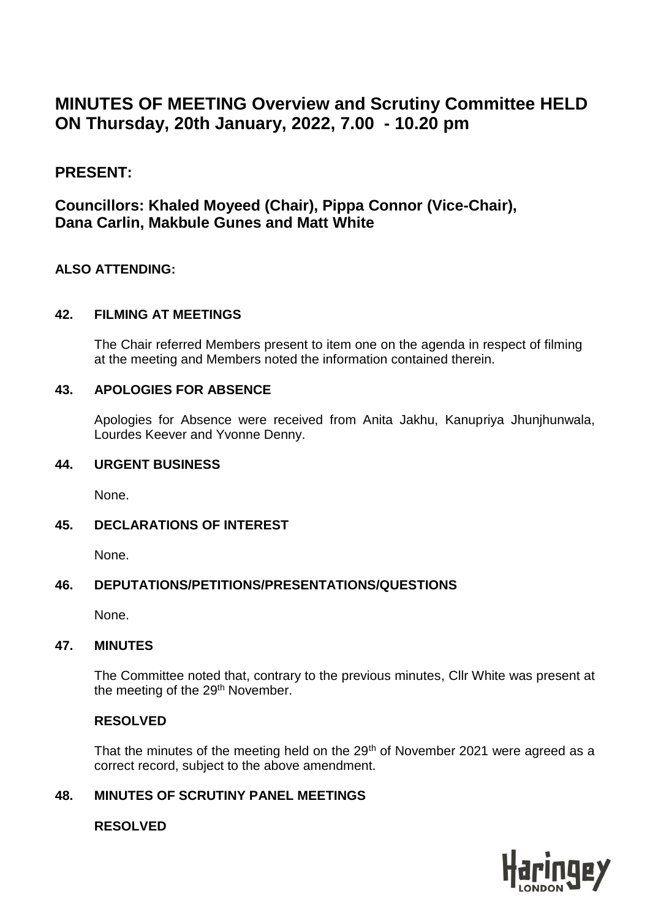# **MINUTES OF MEETING Overview and Scrutiny Committee HELD ON Thursday, 20th January, 2022, 7.00 - 10.20 pm**

# **PRESENT:**

# **Councillors: Khaled Moyeed (Chair), Pippa Connor (Vice-Chair), Dana Carlin, Makbule Gunes and Matt White**

#### **ALSO ATTENDING:**

#### **42. FILMING AT MEETINGS**

The Chair referred Members present to item one on the agenda in respect of filming at the meeting and Members noted the information contained therein.

#### **43. APOLOGIES FOR ABSENCE**

Apologies for Absence were received from Anita Jakhu, Kanupriya Jhunjhunwala, Lourdes Keever and Yvonne Denny.

#### **44. URGENT BUSINESS**

None.

#### **45. DECLARATIONS OF INTEREST**

None.

#### **46. DEPUTATIONS/PETITIONS/PRESENTATIONS/QUESTIONS**

None.

#### **47. MINUTES**

The Committee noted that, contrary to the previous minutes, Cllr White was present at the meeting of the 29<sup>th</sup> November.

#### **RESOLVED**

That the minutes of the meeting held on the 29<sup>th</sup> of November 2021 were agreed as a correct record, subject to the above amendment.

## **48. MINUTES OF SCRUTINY PANEL MEETINGS**

#### **RESOLVED**

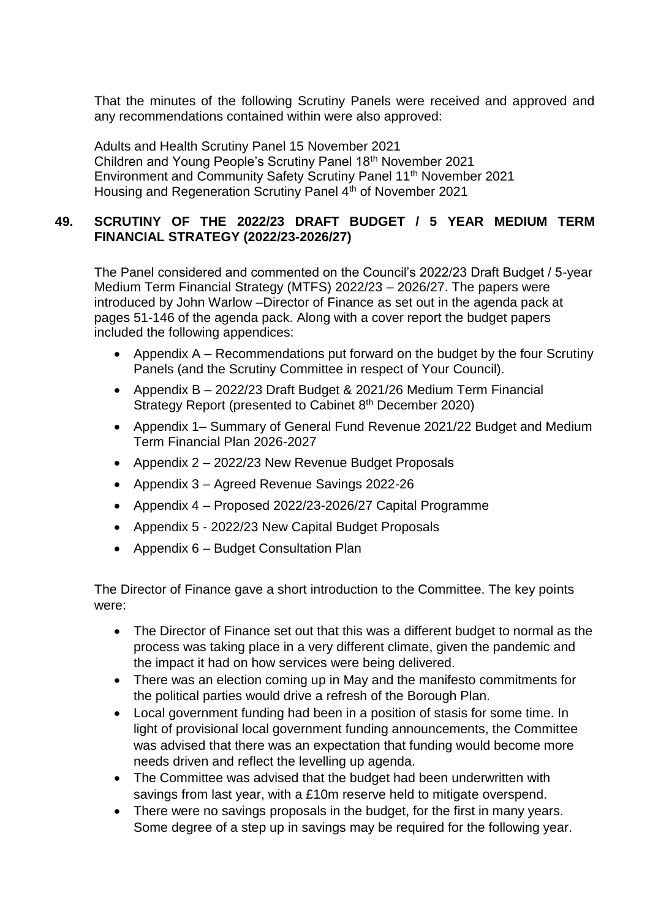That the minutes of the following Scrutiny Panels were received and approved and any recommendations contained within were also approved:

Adults and Health Scrutiny Panel 15 November 2021 Children and Young People's Scrutiny Panel 18th November 2021 Environment and Community Safety Scrutiny Panel 11th November 2021 Housing and Regeneration Scrutiny Panel 4<sup>th</sup> of November 2021

#### **49. SCRUTINY OF THE 2022/23 DRAFT BUDGET / 5 YEAR MEDIUM TERM FINANCIAL STRATEGY (2022/23-2026/27)**

The Panel considered and commented on the Council's 2022/23 Draft Budget / 5-year Medium Term Financial Strategy (MTFS) 2022/23 – 2026/27. The papers were introduced by John Warlow –Director of Finance as set out in the agenda pack at pages 51-146 of the agenda pack. Along with a cover report the budget papers included the following appendices:

- Appendix A Recommendations put forward on the budget by the four Scrutiny Panels (and the Scrutiny Committee in respect of Your Council).
- Appendix B 2022/23 Draft Budget & 2021/26 Medium Term Financial Strategy Report (presented to Cabinet 8<sup>th</sup> December 2020)
- Appendix 1– Summary of General Fund Revenue 2021/22 Budget and Medium Term Financial Plan 2026-2027
- Appendix 2 2022/23 New Revenue Budget Proposals
- Appendix 3 Agreed Revenue Savings 2022-26
- Appendix 4 Proposed 2022/23-2026/27 Capital Programme
- Appendix 5 2022/23 New Capital Budget Proposals
- Appendix 6 Budget Consultation Plan

The Director of Finance gave a short introduction to the Committee. The key points were:

- The Director of Finance set out that this was a different budget to normal as the process was taking place in a very different climate, given the pandemic and the impact it had on how services were being delivered.
- There was an election coming up in May and the manifesto commitments for the political parties would drive a refresh of the Borough Plan.
- Local government funding had been in a position of stasis for some time. In light of provisional local government funding announcements, the Committee was advised that there was an expectation that funding would become more needs driven and reflect the levelling up agenda.
- The Committee was advised that the budget had been underwritten with savings from last year, with a £10m reserve held to mitigate overspend.
- There were no savings proposals in the budget, for the first in many years. Some degree of a step up in savings may be required for the following year.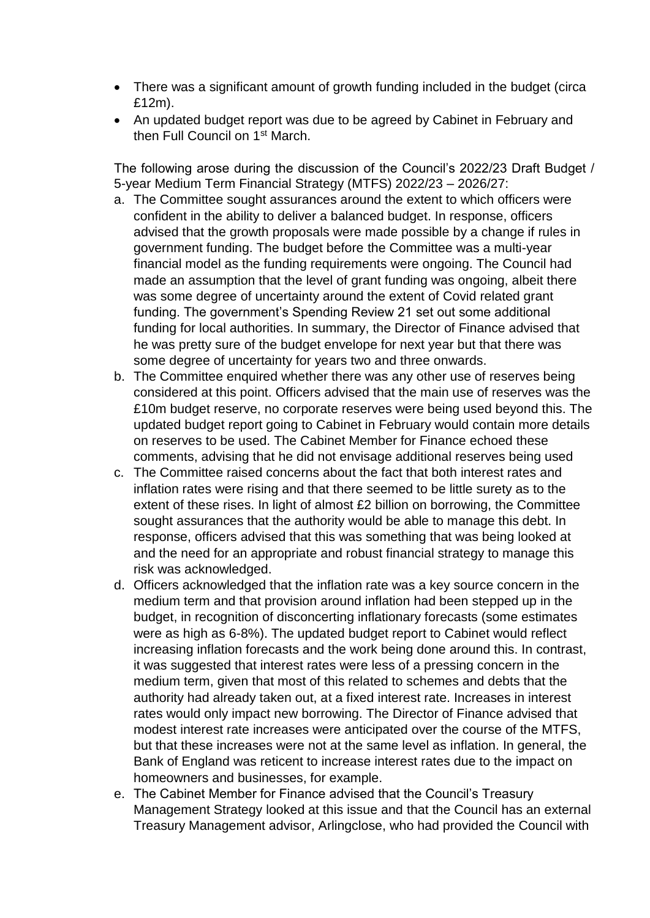- There was a significant amount of growth funding included in the budget (circa £12m).
- An updated budget report was due to be agreed by Cabinet in February and then Full Council on 1st March.

The following arose during the discussion of the Council's 2022/23 Draft Budget / 5-year Medium Term Financial Strategy (MTFS) 2022/23 – 2026/27:

- a. The Committee sought assurances around the extent to which officers were confident in the ability to deliver a balanced budget. In response, officers advised that the growth proposals were made possible by a change if rules in government funding. The budget before the Committee was a multi-year financial model as the funding requirements were ongoing. The Council had made an assumption that the level of grant funding was ongoing, albeit there was some degree of uncertainty around the extent of Covid related grant funding. The government's Spending Review 21 set out some additional funding for local authorities. In summary, the Director of Finance advised that he was pretty sure of the budget envelope for next year but that there was some degree of uncertainty for years two and three onwards.
- b. The Committee enquired whether there was any other use of reserves being considered at this point. Officers advised that the main use of reserves was the £10m budget reserve, no corporate reserves were being used beyond this. The updated budget report going to Cabinet in February would contain more details on reserves to be used. The Cabinet Member for Finance echoed these comments, advising that he did not envisage additional reserves being used
- c. The Committee raised concerns about the fact that both interest rates and inflation rates were rising and that there seemed to be little surety as to the extent of these rises. In light of almost £2 billion on borrowing, the Committee sought assurances that the authority would be able to manage this debt. In response, officers advised that this was something that was being looked at and the need for an appropriate and robust financial strategy to manage this risk was acknowledged.
- d. Officers acknowledged that the inflation rate was a key source concern in the medium term and that provision around inflation had been stepped up in the budget, in recognition of disconcerting inflationary forecasts (some estimates were as high as 6-8%). The updated budget report to Cabinet would reflect increasing inflation forecasts and the work being done around this. In contrast, it was suggested that interest rates were less of a pressing concern in the medium term, given that most of this related to schemes and debts that the authority had already taken out, at a fixed interest rate. Increases in interest rates would only impact new borrowing. The Director of Finance advised that modest interest rate increases were anticipated over the course of the MTFS, but that these increases were not at the same level as inflation. In general, the Bank of England was reticent to increase interest rates due to the impact on homeowners and businesses, for example.
- e. The Cabinet Member for Finance advised that the Council's Treasury Management Strategy looked at this issue and that the Council has an external Treasury Management advisor, Arlingclose, who had provided the Council with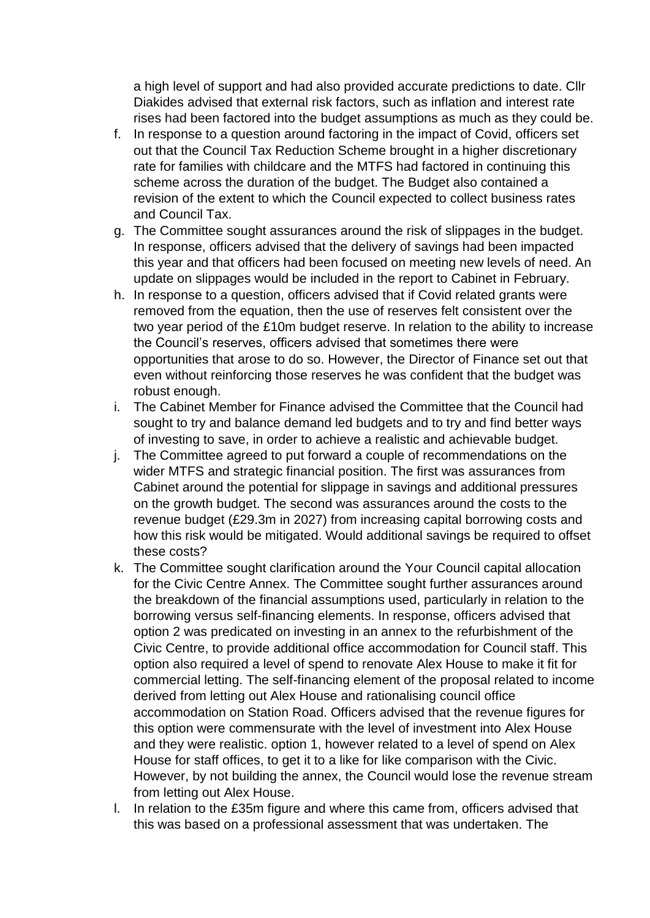a high level of support and had also provided accurate predictions to date. Cllr Diakides advised that external risk factors, such as inflation and interest rate rises had been factored into the budget assumptions as much as they could be.

- f. In response to a question around factoring in the impact of Covid, officers set out that the Council Tax Reduction Scheme brought in a higher discretionary rate for families with childcare and the MTFS had factored in continuing this scheme across the duration of the budget. The Budget also contained a revision of the extent to which the Council expected to collect business rates and Council Tax.
- g. The Committee sought assurances around the risk of slippages in the budget. In response, officers advised that the delivery of savings had been impacted this year and that officers had been focused on meeting new levels of need. An update on slippages would be included in the report to Cabinet in February.
- h. In response to a question, officers advised that if Covid related grants were removed from the equation, then the use of reserves felt consistent over the two year period of the £10m budget reserve. In relation to the ability to increase the Council's reserves, officers advised that sometimes there were opportunities that arose to do so. However, the Director of Finance set out that even without reinforcing those reserves he was confident that the budget was robust enough.
- i. The Cabinet Member for Finance advised the Committee that the Council had sought to try and balance demand led budgets and to try and find better ways of investing to save, in order to achieve a realistic and achievable budget.
- j. The Committee agreed to put forward a couple of recommendations on the wider MTFS and strategic financial position. The first was assurances from Cabinet around the potential for slippage in savings and additional pressures on the growth budget. The second was assurances around the costs to the revenue budget (£29.3m in 2027) from increasing capital borrowing costs and how this risk would be mitigated. Would additional savings be required to offset these costs?
- k. The Committee sought clarification around the Your Council capital allocation for the Civic Centre Annex. The Committee sought further assurances around the breakdown of the financial assumptions used, particularly in relation to the borrowing versus self-financing elements. In response, officers advised that option 2 was predicated on investing in an annex to the refurbishment of the Civic Centre, to provide additional office accommodation for Council staff. This option also required a level of spend to renovate Alex House to make it fit for commercial letting. The self-financing element of the proposal related to income derived from letting out Alex House and rationalising council office accommodation on Station Road. Officers advised that the revenue figures for this option were commensurate with the level of investment into Alex House and they were realistic. option 1, however related to a level of spend on Alex House for staff offices, to get it to a like for like comparison with the Civic. However, by not building the annex, the Council would lose the revenue stream from letting out Alex House.
- l. In relation to the £35m figure and where this came from, officers advised that this was based on a professional assessment that was undertaken. The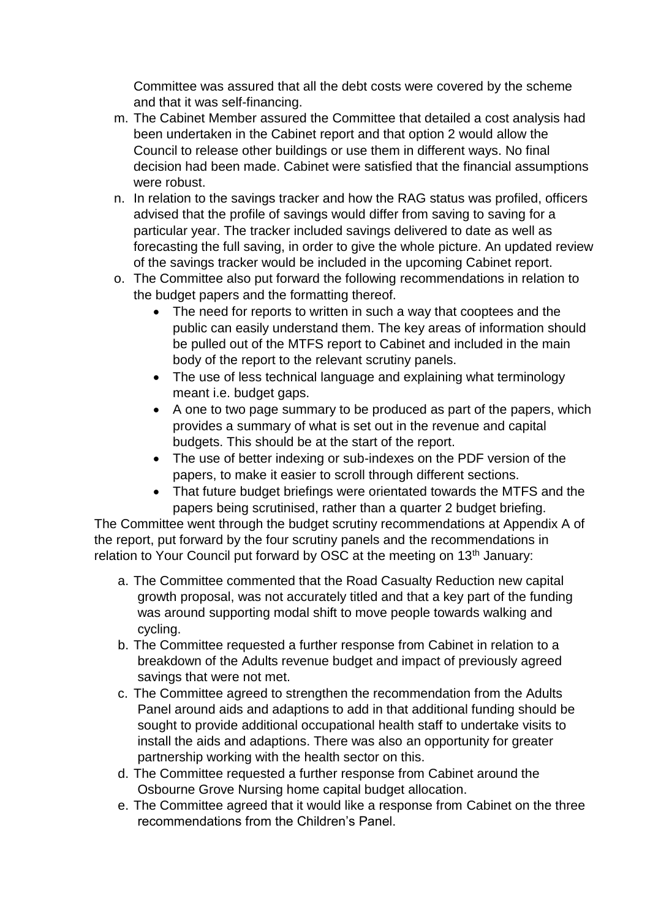Committee was assured that all the debt costs were covered by the scheme and that it was self-financing.

- m. The Cabinet Member assured the Committee that detailed a cost analysis had been undertaken in the Cabinet report and that option 2 would allow the Council to release other buildings or use them in different ways. No final decision had been made. Cabinet were satisfied that the financial assumptions were robust.
- n. In relation to the savings tracker and how the RAG status was profiled, officers advised that the profile of savings would differ from saving to saving for a particular year. The tracker included savings delivered to date as well as forecasting the full saving, in order to give the whole picture. An updated review of the savings tracker would be included in the upcoming Cabinet report.
- o. The Committee also put forward the following recommendations in relation to the budget papers and the formatting thereof.
	- The need for reports to written in such a way that cooptees and the public can easily understand them. The key areas of information should be pulled out of the MTFS report to Cabinet and included in the main body of the report to the relevant scrutiny panels.
	- The use of less technical language and explaining what terminology meant i.e. budget gaps.
	- A one to two page summary to be produced as part of the papers, which provides a summary of what is set out in the revenue and capital budgets. This should be at the start of the report.
	- The use of better indexing or sub-indexes on the PDF version of the papers, to make it easier to scroll through different sections.
	- That future budget briefings were orientated towards the MTFS and the papers being scrutinised, rather than a quarter 2 budget briefing.

The Committee went through the budget scrutiny recommendations at Appendix A of the report, put forward by the four scrutiny panels and the recommendations in relation to Your Council put forward by OSC at the meeting on 13<sup>th</sup> January:

- a. The Committee commented that the Road Casualty Reduction new capital growth proposal, was not accurately titled and that a key part of the funding was around supporting modal shift to move people towards walking and cycling.
- b. The Committee requested a further response from Cabinet in relation to a breakdown of the Adults revenue budget and impact of previously agreed savings that were not met.
- c. The Committee agreed to strengthen the recommendation from the Adults Panel around aids and adaptions to add in that additional funding should be sought to provide additional occupational health staff to undertake visits to install the aids and adaptions. There was also an opportunity for greater partnership working with the health sector on this.
- d. The Committee requested a further response from Cabinet around the Osbourne Grove Nursing home capital budget allocation.
- e. The Committee agreed that it would like a response from Cabinet on the three recommendations from the Children's Panel.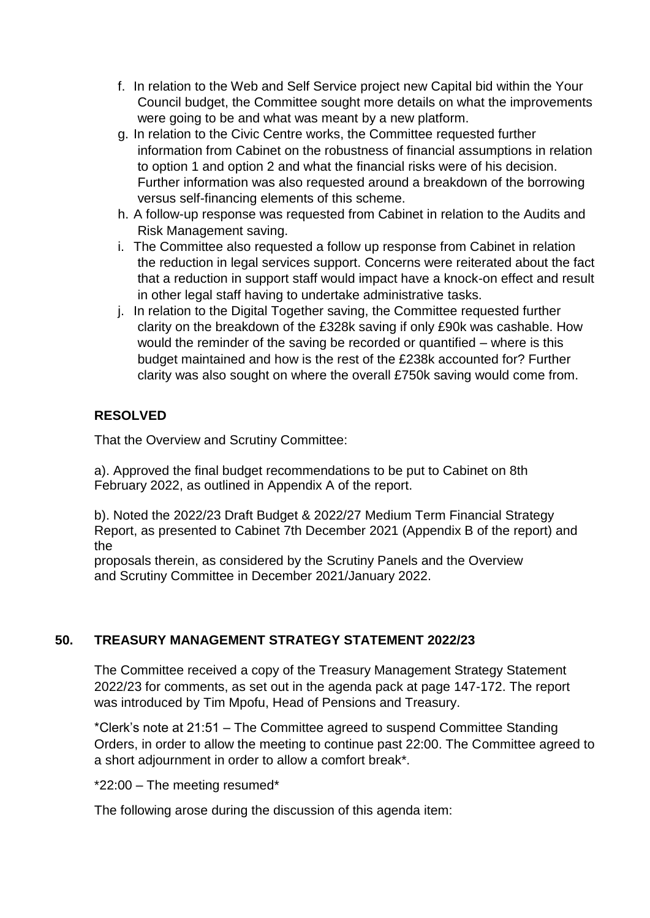- f. In relation to the Web and Self Service project new Capital bid within the Your Council budget, the Committee sought more details on what the improvements were going to be and what was meant by a new platform.
- g. In relation to the Civic Centre works, the Committee requested further information from Cabinet on the robustness of financial assumptions in relation to option 1 and option 2 and what the financial risks were of his decision. Further information was also requested around a breakdown of the borrowing versus self-financing elements of this scheme.
- h. A follow-up response was requested from Cabinet in relation to the Audits and Risk Management saving.
- i. The Committee also requested a follow up response from Cabinet in relation the reduction in legal services support. Concerns were reiterated about the fact that a reduction in support staff would impact have a knock-on effect and result in other legal staff having to undertake administrative tasks.
- j. In relation to the Digital Together saving, the Committee requested further clarity on the breakdown of the £328k saving if only £90k was cashable. How would the reminder of the saving be recorded or quantified – where is this budget maintained and how is the rest of the £238k accounted for? Further clarity was also sought on where the overall £750k saving would come from.

# **RESOLVED**

That the Overview and Scrutiny Committee:

a). Approved the final budget recommendations to be put to Cabinet on 8th February 2022, as outlined in Appendix A of the report.

b). Noted the 2022/23 Draft Budget & 2022/27 Medium Term Financial Strategy Report, as presented to Cabinet 7th December 2021 (Appendix B of the report) and the

proposals therein, as considered by the Scrutiny Panels and the Overview and Scrutiny Committee in December 2021/January 2022.

# **50. TREASURY MANAGEMENT STRATEGY STATEMENT 2022/23**

The Committee received a copy of the Treasury Management Strategy Statement 2022/23 for comments, as set out in the agenda pack at page 147-172. The report was introduced by Tim Mpofu, Head of Pensions and Treasury.

\*Clerk's note at 21:51 – The Committee agreed to suspend Committee Standing Orders, in order to allow the meeting to continue past 22:00. The Committee agreed to a short adjournment in order to allow a comfort break\*.

\*22:00 – The meeting resumed\*

The following arose during the discussion of this agenda item: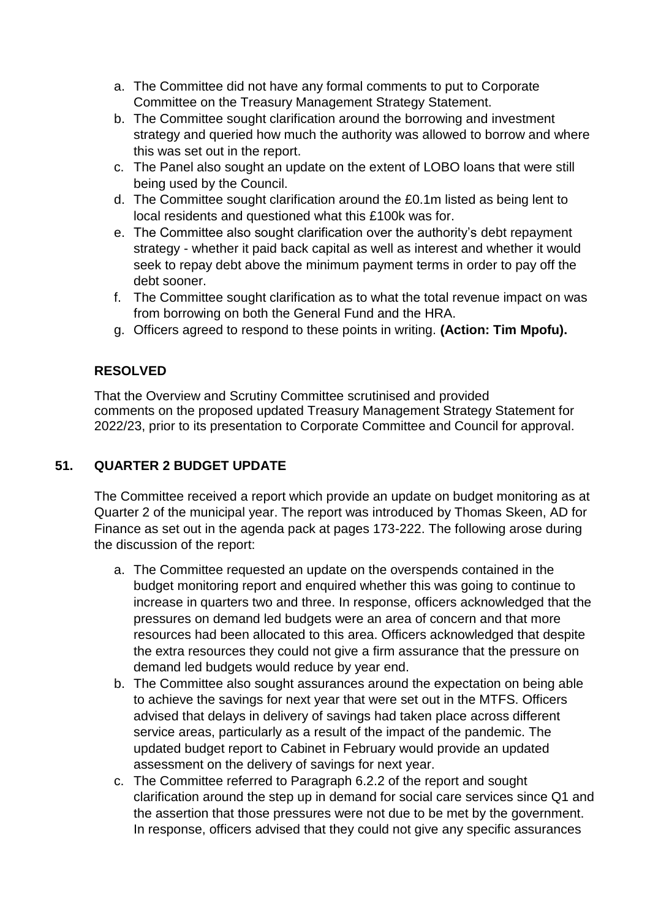- a. The Committee did not have any formal comments to put to Corporate Committee on the Treasury Management Strategy Statement.
- b. The Committee sought clarification around the borrowing and investment strategy and queried how much the authority was allowed to borrow and where this was set out in the report.
- c. The Panel also sought an update on the extent of LOBO loans that were still being used by the Council.
- d. The Committee sought clarification around the £0.1m listed as being lent to local residents and questioned what this £100k was for.
- e. The Committee also sought clarification over the authority's debt repayment strategy - whether it paid back capital as well as interest and whether it would seek to repay debt above the minimum payment terms in order to pay off the debt sooner.
- f. The Committee sought clarification as to what the total revenue impact on was from borrowing on both the General Fund and the HRA.
- g. Officers agreed to respond to these points in writing. **(Action: Tim Mpofu).**

# **RESOLVED**

That the Overview and Scrutiny Committee scrutinised and provided comments on the proposed updated Treasury Management Strategy Statement for 2022/23, prior to its presentation to Corporate Committee and Council for approval.

# **51. QUARTER 2 BUDGET UPDATE**

The Committee received a report which provide an update on budget monitoring as at Quarter 2 of the municipal year. The report was introduced by Thomas Skeen, AD for Finance as set out in the agenda pack at pages 173-222. The following arose during the discussion of the report:

- a. The Committee requested an update on the overspends contained in the budget monitoring report and enquired whether this was going to continue to increase in quarters two and three. In response, officers acknowledged that the pressures on demand led budgets were an area of concern and that more resources had been allocated to this area. Officers acknowledged that despite the extra resources they could not give a firm assurance that the pressure on demand led budgets would reduce by year end.
- b. The Committee also sought assurances around the expectation on being able to achieve the savings for next year that were set out in the MTFS. Officers advised that delays in delivery of savings had taken place across different service areas, particularly as a result of the impact of the pandemic. The updated budget report to Cabinet in February would provide an updated assessment on the delivery of savings for next year.
- c. The Committee referred to Paragraph 6.2.2 of the report and sought clarification around the step up in demand for social care services since Q1 and the assertion that those pressures were not due to be met by the government. In response, officers advised that they could not give any specific assurances